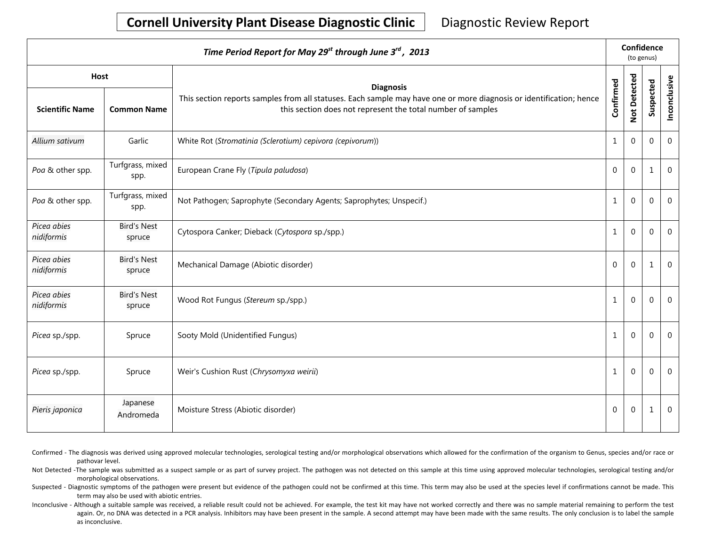## **Cornell University Plant Disease Diagnostic Clinic** | Diagnostic Review Report

| Time Period Report for May 29 <sup>st</sup> through June 3 <sup>rd</sup> , 2013 |                              |                                                                                                                                                                                    |              |              | Confidence<br>(to genus) |              |  |  |
|---------------------------------------------------------------------------------|------------------------------|------------------------------------------------------------------------------------------------------------------------------------------------------------------------------------|--------------|--------------|--------------------------|--------------|--|--|
| <b>Host</b>                                                                     |                              | <b>Diagnosis</b>                                                                                                                                                                   |              |              |                          |              |  |  |
| <b>Scientific Name</b>                                                          | <b>Common Name</b>           | This section reports samples from all statuses. Each sample may have one or more diagnosis or identification; hence<br>this section does not represent the total number of samples | Confirmed    | Not Detected | Suspected                | Inconclusive |  |  |
| Allium sativum                                                                  | Garlic                       | White Rot (Stromatinia (Sclerotium) cepivora (cepivorum))                                                                                                                          | $\mathbf{1}$ | $\Omega$     | $\mathbf{0}$             | $\mathbf{0}$ |  |  |
| Poa & other spp.                                                                | Turfgrass, mixed<br>spp.     | European Crane Fly (Tipula paludosa)                                                                                                                                               | $\mathbf 0$  | $\mathbf{0}$ | 1                        | $\mathbf{0}$ |  |  |
| Poa & other spp.                                                                | Turfgrass, mixed<br>spp.     | Not Pathogen; Saprophyte (Secondary Agents; Saprophytes; Unspecif.)                                                                                                                | $\mathbf{1}$ | $\mathbf{0}$ | $\mathbf{0}$             | $\mathbf 0$  |  |  |
| Picea abies<br>nidiformis                                                       | <b>Bird's Nest</b><br>spruce | Cytospora Canker; Dieback (Cytospora sp./spp.)                                                                                                                                     | $\mathbf{1}$ | $\Omega$     | $\mathbf 0$              | $\mathbf 0$  |  |  |
| Picea abies<br>nidiformis                                                       | <b>Bird's Nest</b><br>spruce | Mechanical Damage (Abiotic disorder)                                                                                                                                               | $\Omega$     | $\Omega$     | $\mathbf{1}$             | $\Omega$     |  |  |
| Picea abies<br>nidiformis                                                       | <b>Bird's Nest</b><br>spruce | Wood Rot Fungus (Stereum sp./spp.)                                                                                                                                                 | $\mathbf{1}$ | $\Omega$     | $\mathbf 0$              | $\mathbf 0$  |  |  |
| Picea sp./spp.                                                                  | Spruce                       | Sooty Mold (Unidentified Fungus)                                                                                                                                                   | $\mathbf{1}$ | $\Omega$     | $\Omega$                 | $\Omega$     |  |  |
| Picea sp./spp.                                                                  | Spruce                       | Weir's Cushion Rust (Chrysomyxa weirii)                                                                                                                                            | $\mathbf{1}$ | $\Omega$     | 0                        | $\Omega$     |  |  |
| Pieris japonica                                                                 | Japanese<br>Andromeda        | Moisture Stress (Abiotic disorder)                                                                                                                                                 | $\Omega$     | $\Omega$     | 1                        | $\Omega$     |  |  |

- Confirmed The diagnosis was derived using approved molecular technologies, serological testing and/or morphological observations which allowed for the confirmation of the organism to Genus, species and/or race or pathovar level.
- Not Detected -The sample was submitted as a suspect sample or as part of survey project. The pathogen was not detected on this sample at this time using approved molecular technologies, serological testing and/or morphological observations.
- Suspected Diagnostic symptoms of the pathogen were present but evidence of the pathogen could not be confirmed at this time. This term may also be used at the species level if confirmations cannot be made. This term may also be used with abiotic entries.
- Inconclusive Although a suitable sample was received, a reliable result could not be achieved. For example, the test kit may have not worked correctly and there was no sample material remaining to perform the test again. Or, no DNA was detected in a PCR analysis. Inhibitors may have been present in the sample. A second attempt may have been made with the same results. The only conclusion is to label the sample as inconclusive.